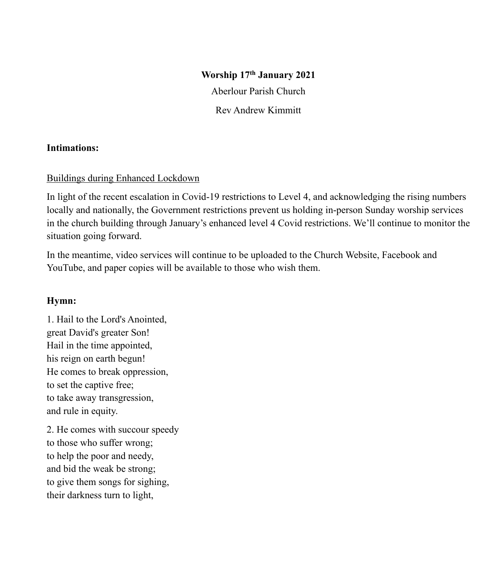### **Worship 17th January 2021**

Aberlour Parish Church

Rev Andrew Kimmitt

### **Intimations:**

### Buildings during Enhanced Lockdown

In light of the recent escalation in Covid-19 restrictions to Level 4, and acknowledging the rising numbers locally and nationally, the Government restrictions prevent us holding in-person Sunday worship services in the church building through January's enhanced level 4 Covid restrictions. We'll continue to monitor the situation going forward.

In the meantime, video services will continue to be uploaded to the Church Website, Facebook and YouTube, and paper copies will be available to those who wish them.

### **Hymn:**

1. Hail to the Lord's Anointed, great David's greater Son! Hail in the time appointed, his reign on earth begun! He comes to break oppression, to set the captive free; to take away transgression, and rule in equity.

2. He comes with succour speedy to those who suffer wrong; to help the poor and needy, and bid the weak be strong; to give them songs for sighing, their darkness turn to light,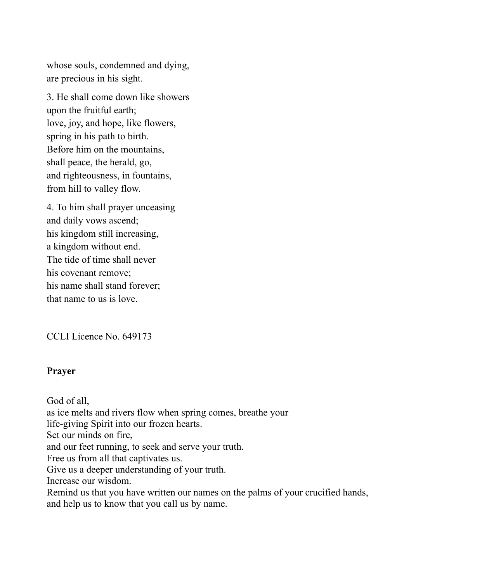whose souls, condemned and dying, are precious in his sight.

3. He shall come down like showers upon the fruitful earth; love, joy, and hope, like flowers, spring in his path to birth. Before him on the mountains, shall peace, the herald, go, and righteousness, in fountains, from hill to valley flow.

4. To him shall prayer unceasing and daily vows ascend; his kingdom still increasing, a kingdom without end. The tide of time shall never his covenant remove; his name shall stand forever; that name to us is love.

CCLI Licence No. 649173

### **Prayer**

God of all, as ice melts and rivers flow when spring comes, breathe your life-giving Spirit into our frozen hearts. Set our minds on fire, and our feet running, to seek and serve your truth. Free us from all that captivates us. Give us a deeper understanding of your truth. Increase our wisdom. Remind us that you have written our names on the palms of your crucified hands, and help us to know that you call us by name.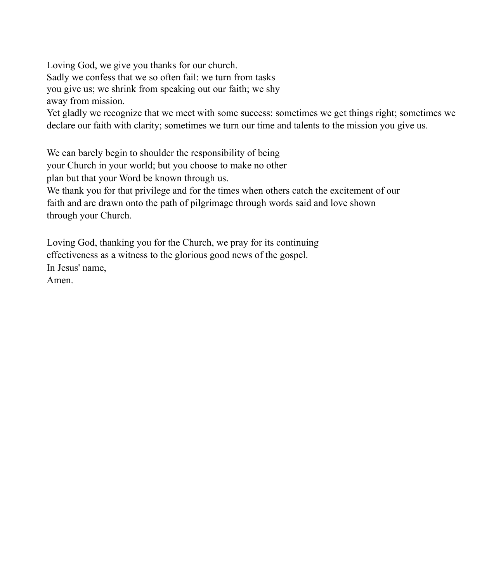Loving God, we give you thanks for our church. Sadly we confess that we so often fail: we turn from tasks you give us; we shrink from speaking out our faith; we shy away from mission. Yet gladly we recognize that we meet with some success: sometimes we get things right; sometimes we declare our faith with clarity; sometimes we turn our time and talents to the mission you give us.

We can barely begin to shoulder the responsibility of being your Church in your world; but you choose to make no other plan but that your Word be known through us. We thank you for that privilege and for the times when others catch the excitement of our faith and are drawn onto the path of pilgrimage through words said and love shown through your Church.

Loving God, thanking you for the Church, we pray for its continuing effectiveness as a witness to the glorious good news of the gospel. In Jesus' name, Amen.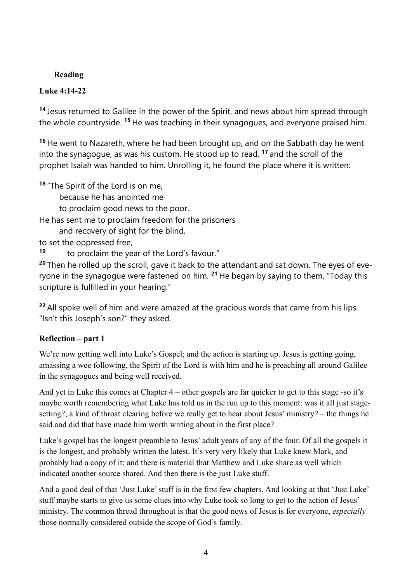## **Reading**

## **Luke 4:14-22**

**<sup>14</sup>** Jesus returned to Galilee in the power of the Spirit, and news about him spread through the whole countryside. **<sup>15</sup>** He was teaching in their synagogues, and everyone praised him.

**<sup>16</sup>** He went to Nazareth, where he had been brought up, and on the Sabbath day he went into the synagogue, as was his custom. He stood up to read, **<sup>17</sup>** and the scroll of the prophet Isaiah was handed to him. Unrolling it, he found the place where it is written:

**<sup>18</sup>** "The Spirit of the Lord is on me,

because he has anointed me

to proclaim good news to the poor.

He has sent me to proclaim freedom for the prisoners

and recovery of sight for the blind,

to set the oppressed free,

**<sup>19</sup>** to proclaim the year of the Lord's favour."

**<sup>20</sup>** Then he rolled up the scroll, gave it back to the attendant and sat down. The eyes of everyone in the synagogue were fastened on him. **<sup>21</sup>** He began by saying to them, "Today this scripture is fulfilled in your hearing."

**<sup>22</sup>** All spoke well of him and were amazed at the gracious words that came from his lips. "Isn't this Joseph's son?" they asked.

# **Reflection – part 1**

We're now getting well into Luke's Gospel; and the action is starting up. Jesus is getting going, amassing a wee following, the Spirit of the Lord is with him and he is preaching all around Galilee in the synagogues and being well received.

And yet in Luke this comes at Chapter 4 – other gospels are far quicker to get to this stage -so it's maybe worth remembering what Luke has told us in the run up to this moment: was it all just stagesetting?; a kind of throat clearing before we really get to hear about Jesus' ministry? – the things he said and did that have made him worth writing about in the first place?

Luke's gospel has the longest preamble to Jesus' adult years of any of the four. Of all the gospels it is the longest, and probably written the latest. It's very very likely that Luke knew Mark, and probably had a copy of it; and there is material that Matthew and Luke share as well which indicated another source shared. And then there is the just Luke stuff.

And a good deal of that 'Just Luke'stuff is in the first few chapters. And looking at that 'Just Luke' stuff maybe starts to give us some clues into why Luke took so long to get to the action of Jesus' ministry. The common thread throughout is that the good news of Jesus is for everyone, *especially* those normally considered outside the scope of God's family.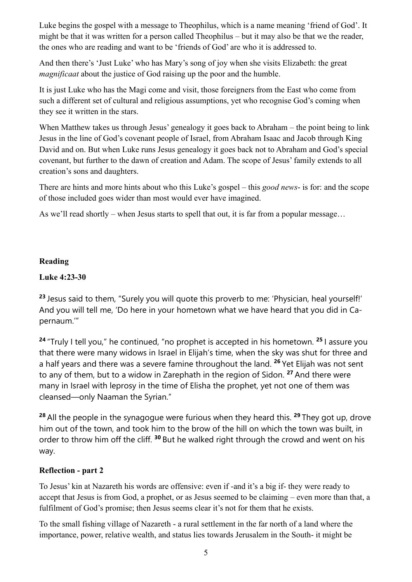Luke begins the gospel with a message to Theophilus, which is a name meaning 'friend of God'. It might be that it was written for a person called Theophilus – but it may also be that we the reader, the ones who are reading and want to be 'friends of God' are who it is addressed to.

And then there's 'Just Luke' who has Mary's song of joy when she visits Elizabeth: the great *magnificaat* about the justice of God raising up the poor and the humble.

It is just Luke who has the Magi come and visit, those foreigners from the East who come from such a different set of cultural and religious assumptions, yet who recognise God's coming when they see it written in the stars.

When Matthew takes us through Jesus' genealogy it goes back to Abraham – the point being to link Jesus in the line of God's covenant people of Israel, from Abraham Isaac and Jacob through King David and on. But when Luke runs Jesus genealogy it goes back not to Abraham and God's special covenant, but further to the dawn of creation and Adam. The scope of Jesus' family extends to all creation's sons and daughters.

There are hints and more hints about who this Luke's gospel – this *good news*- is for: and the scope of those included goes wider than most would ever have imagined.

As we'll read shortly – when Jesus starts to spell that out, it is far from a popular message...

## **Reading**

## **Luke 4:23-30**

**<sup>23</sup>** Jesus said to them, "Surely you will quote this proverb to me: 'Physician, heal yourself!' And you will tell me, 'Do here in your hometown what we have heard that you did in Capernaum.'"

**<sup>24</sup>** "Truly I tell you," he continued, "no prophet is accepted in his hometown. **<sup>25</sup>** I assure you that there were many widows in Israel in Elijah's time, when the sky was shut for three and a half years and there was a severe famine throughout the land. **<sup>26</sup>** Yet Elijah was not sent to any of them, but to a widow in Zarephath in the region of Sidon. **<sup>27</sup>** And there were many in Israel with leprosy in the time of Elisha the prophet, yet not one of them was cleansed—only Naaman the Syrian."

**<sup>28</sup>** All the people in the synagogue were furious when they heard this. **<sup>29</sup>** They got up, drove him out of the town, and took him to the brow of the hill on which the town was built, in order to throw him off the cliff. **<sup>30</sup>** But he walked right through the crowd and went on his way.

## **Reflection - part 2**

To Jesus' kin at Nazareth his words are offensive: even if -and it's a big if- they were ready to accept that Jesus is from God, a prophet, or as Jesus seemed to be claiming – even more than that, a fulfilment of God's promise; then Jesus seems clear it's not for them that he exists.

To the small fishing village of Nazareth - a rural settlement in the far north of a land where the importance, power, relative wealth, and status lies towards Jerusalem in the South- it might be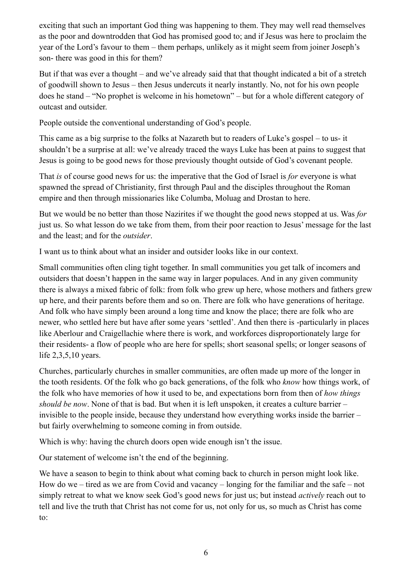exciting that such an important God thing was happening to them. They may well read themselves as the poor and downtrodden that God has promised good to; and if Jesus was here to proclaim the year of the Lord's favour to them – them perhaps, unlikely as it might seem from joiner Joseph's son- there was good in this for them?

But if that was ever a thought – and we've already said that that thought indicated a bit of a stretch of goodwill shown to Jesus – then Jesus undercuts it nearly instantly. No, not for his own people does he stand – "No prophet is welcome in his hometown" – but for a whole different category of outcast and outsider.

People outside the conventional understanding of God's people.

This came as a big surprise to the folks at Nazareth but to readers of Luke's gospel – to us- it shouldn't be a surprise at all: we've already traced the ways Luke has been at pains to suggest that Jesus is going to be good news for those previously thought outside of God's covenant people.

That *is* of course good news for us: the imperative that the God of Israel is *for* everyone is what spawned the spread of Christianity, first through Paul and the disciples throughout the Roman empire and then through missionaries like Columba, Moluag and Drostan to here.

But we would be no better than those Nazirites if we thought the good news stopped at us. Was *for*  just us. So what lesson do we take from them, from their poor reaction to Jesus' message for the last and the least; and for the *outsider*.

I want us to think about what an insider and outsider looks like in our context.

Small communities often cling tight together. In small communities you get talk of incomers and outsiders that doesn't happen in the same way in larger populaces. And in any given community there is always a mixed fabric of folk: from folk who grew up here, whose mothers and fathers grew up here, and their parents before them and so on. There are folk who have generations of heritage. And folk who have simply been around a long time and know the place; there are folk who are newer, who settled here but have after some years 'settled'. And then there is -particularly in places like Aberlour and Craigellachie where there is work, and workforces disproportionately large for their residents- a flow of people who are here for spells; short seasonal spells; or longer seasons of life 2,3,5,10 years.

Churches, particularly churches in smaller communities, are often made up more of the longer in the tooth residents. Of the folk who go back generations, of the folk who *know* how things work, of the folk who have memories of how it used to be, and expectations born from then of *how things should be now*. None of that is bad. But when it is left unspoken, it creates a culture barrier – invisible to the people inside, because they understand how everything works inside the barrier – but fairly overwhelming to someone coming in from outside.

Which is why: having the church doors open wide enough isn't the issue.

Our statement of welcome isn't the end of the beginning.

We have a season to begin to think about what coming back to church in person might look like. How do we – tired as we are from Covid and vacancy – longing for the familiar and the safe – not simply retreat to what we know seek God's good news for just us; but instead *actively* reach out to tell and live the truth that Christ has not come for us, not only for us, so much as Christ has come to: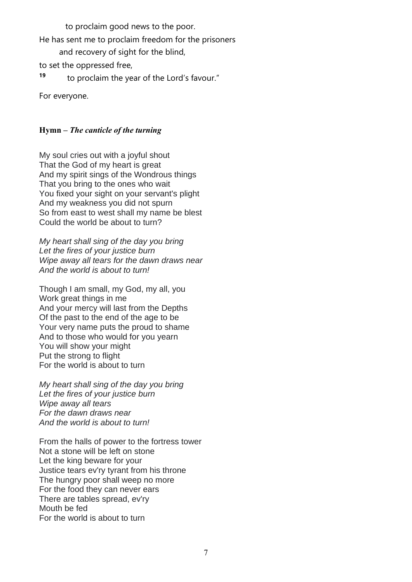to proclaim good news to the poor.

He has sent me to proclaim freedom for the prisoners

and recovery of sight for the blind,

to set the oppressed free,

**<sup>19</sup>** to proclaim the year of the Lord's favour."

For everyone.

# **Hymn –** *The canticle of the turning*

My soul cries out with a joyful shout That the God of my heart is great And my spirit sings of the Wondrous things That you bring to the ones who wait You fixed your sight on your servant's plight And my weakness you did not spurn So from east to west shall my name be blest Could the world be about to turn?

*My heart shall sing of the day you bring Let the fires of your justice burn Wipe away all tears for the dawn draws near And the world is about to turn!*

Though I am small, my God, my all, you Work great things in me And your mercy will last from the Depths Of the past to the end of the age to be Your very name puts the proud to shame And to those who would for you yearn You will show your might Put the strong to flight For the world is about to turn

*My heart shall sing of the day you bring Let the fires of your justice burn Wipe away all tears For the dawn draws near And the world is about to turn!*

From the halls of power to the fortress tower Not a stone will be left on stone Let the king beware for your Justice tears ev'ry tyrant from his throne The hungry poor shall weep no more For the food they can never ears There are tables spread, ev'ry Mouth be fed For the world is about to turn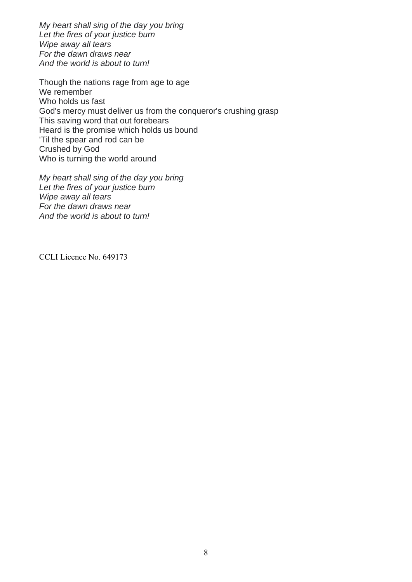*My heart shall sing of the day you bring Let the fires of your justice burn Wipe away all tears For the dawn draws near And the world is about to turn!*

Though the nations rage from age to age We remember Who holds us fast God's mercy must deliver us from the conqueror's crushing grasp This saving word that out forebears Heard is the promise which holds us bound 'Til the spear and rod can be Crushed by God Who is turning the world around

*My heart shall sing of the day you bring Let the fires of your justice burn Wipe away all tears For the dawn draws near And the world is about to turn!*

CCLI Licence No. 649173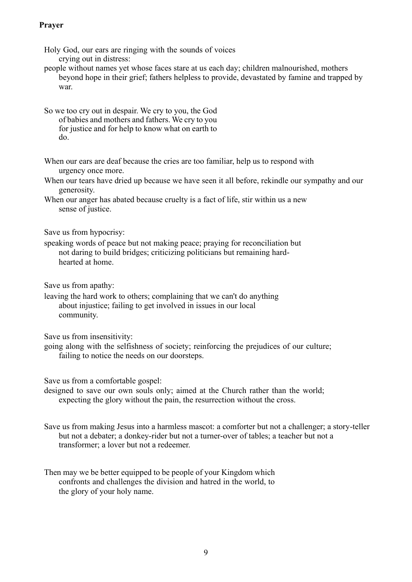### **Prayer**

Holy God, our ears are ringing with the sounds of voices crying out in distress:

people without names yet whose faces stare at us each day; children malnourished, mothers beyond hope in their grief; fathers helpless to provide, devastated by famine and trapped by war.

So we too cry out in despair. We cry to you, the God of babies and mothers and fathers. We cry to you for justice and for help to know what on earth to do.

When our ears are deaf because the cries are too familiar, help us to respond with urgency once more.

When our tears have dried up because we have seen it all before, rekindle our sympathy and our generosity.

When our anger has abated because cruelty is a fact of life, stir within us a new sense of justice.

Save us from hypocrisy:

speaking words of peace but not making peace; praying for reconciliation but not daring to build bridges; criticizing politicians but remaining hardhearted at home.

Save us from apathy:

leaving the hard work to others; complaining that we can't do anything about injustice; failing to get involved in issues in our local community.

Save us from insensitivity:

going along with the selfishness of society; reinforcing the prejudices of our culture; failing to notice the needs on our doorsteps.

Save us from a comfortable gospel:

designed to save our own souls only; aimed at the Church rather than the world; expecting the glory without the pain, the resurrection without the cross.

Save us from making Jesus into a harmless mascot: a comforter but not a challenger; a story-teller but not a debater; a donkey-rider but not a turner-over of tables; a teacher but not a transformer; a lover but not a redeemer.

Then may we be better equipped to be people of your Kingdom which confronts and challenges the division and hatred in the world, to the glory of your holy name.